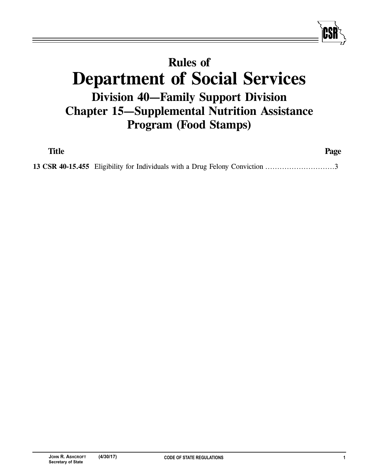## **Rules of Department of Social Services Division 40—Family Support Division Chapter 15—Supplemental Nutrition Assistance Program (Food Stamps)**

| Title |                                                                              | Page |
|-------|------------------------------------------------------------------------------|------|
|       | 13 CSR 40-15.455 Eligibility for Individuals with a Drug Felony Conviction 3 |      |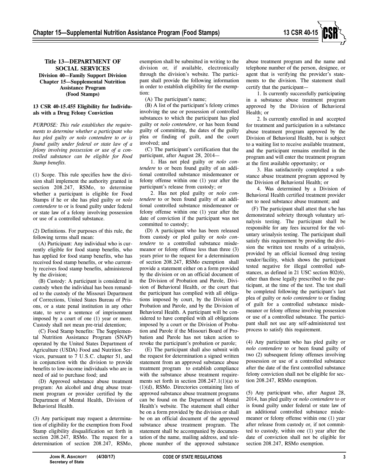

## **13 CSR 40-15.455 Eligibility for Individuals with a Drug Felony Conviction**

*PURPOSE: This rule establishes the requirements to determine whether a participant who has pled guilty or nolo contendere to or is found guilty under federal or state law of a felony involving possession or use of a controlled substance can be eligible for Food Stamp benefits.*

(1) Scope. This rule specifies how the division shall implement the authority granted in section 208.247, RSMo, to determine whether a participant is eligible for Food Stamps if he or she has pled guilty or *nolo contendere* to or is found guilty under federal or state law of a felony involving possession or use of a controlled substance.

(2) Definitions. For purposes of this rule, the following terms shall mean:

(A) Participant: Any individual who is currently eligible for food stamp benefits, who has applied for food stamp benefits, who has received food stamp benefits, or who currently receives food stamp benefits, administered by the division;

(B) Custody: A participant is considered in custody when the individual has been remanded to the custody of the Missouri Department of Corrections, United States Bureau of Prisons, or a state penal institution in any other state, to serve a sentence of imprisonment imposed by a court of one (1) year or more. Custody shall not mean pre-trial detention;

(C) Food Stamp benefits: The Supplemental Nutrition Assistance Program (SNAP) operated by the United States Department of Agriculture (USDA) Food and Nutrition Services, pursuant to 7 U.S.C. chapter 51, and in conjunction with the division to provide benefits to low-income individuals who are in need of aid to purchase food; and

(D) Approved substance abuse treatment program: An alcohol and drug abuse treatment program or provider certified by the Department of Mental Health, Division of Behavioral Health.

(3) Any participant may request a determination of eligibility for the exemption from Food Stamp eligibility disqualification set forth in section 208.247, RSMo. The request for a determination of section 208.247, RSMo,

exemption shall be submitted in writing to the division or, if available, electronically through the division's website. The participant shall provide the following information in order to establish eligibility for the exemption:

(A) The participant's name;

(B) A list of the participant's felony crimes involving the use or possession of controlled substances to which the participant has pled guilty or *nolo contendere*, or has been found guilty of committing, the dates of the guilty plea or finding of guilt, and the court involved; and

(C) The participant's certification that the participant, after August 28, 2014—

1. Has not pled guilty or *nolo contendere* to or been found guilty of an additional controlled substance misdemeanor or felony offense within one (1) year after the participant's release from custody; or

2. Has not pled guilty or *nolo contendere* to or been found guilty of an additional controlled substance misdemeanor or felony offense within one (1) year after the date of conviction if the participant was not committed to custody;

(D) A participant who has been released from custody or pled guilty or *nolo contendere* to a controlled substance misdemeanor or felony offense less than three (3) years prior to the request for a determination of section 208.247, RSMo exemption shall provide a statement either on a form provided by the division or on an official document of the Division of Probation and Parole, Division of Behavioral Health, or the court that the participant has complied with all obligations imposed by court, by the Division of Probation and Parole, and by the Division of Behavioral Health. A participant will be considered to have complied with all obligations imposed by a court or the Division of Probation and Parole if the Missouri Board of Probation and Parole has not taken action to revoke the participant's probation or parole;

(E) The participant shall also submit with the request for determination a signed written statement from an approved substance abuse treatment program to establish compliance with the substance abuse treatment requirements set forth in section 208.247.1(1)(a) to (1)(d), RSMo. Directories containing lists of approved substance abuse treatment programs can be found on the Department of Mental Health's website. The statement shall either be on a form provided by the division or shall be on an official document of the approved substance abuse treatment program. The statement shall be accompanied by documentation of the name, mailing address, and telephone number of the approved substance

abuse treatment program and the name and telephone number of the person, designee, or agent that is verifying the provider's statements to the division. The statement shall certify that the participant—

1. Is currently successfully participating in a substance abuse treatment program approved by the Division of Behavioral Health; or

2. Is currently enrolled in and accepted for treatment and participation in a substance abuse treatment program approved by the Division of Behavioral Health, but is subject to a waiting list to receive available treatment, and the participant remains enrolled in the program and will enter the treatment program at the first available opportunity; or

3. Has satisfactorily completed a substance abuse treatment program approved by the Division of Behavioral Health; or

4. Was determined by a Division of Behavioral Health certified treatment provider not to need substance abuse treatment; and

(F) The participant shall attest that s/he has demonstrated sobriety through voluntary urinalysis testing. The participant shall be responsible for any fees incurred for the voluntary urinalysis testing. The participant shall satisfy this requirement by providing the division the written test results of a urinalysis, provided by an official licensed drug testing vendor/facility, which shows the participant tested negative for illegal controlled substances, as defined in 21 USC section 802(6), other than those legally prescribed to the participant, at the time of the test. The test shall be completed following the participant's last plea of guilty or *nolo contendere* to or finding of guilt for a controlled substance misdemeanor or felony offense involving possession or use of a controlled substance. The participant shall not use any self-administered test process to satisfy this requirement.

(4) Any participant who has pled guilty or *nolo contendere* to or been found guilty of two (2) subsequent felony offenses involving possession or use of a controlled substance after the date of the first controlled substance felony conviction shall not be eligible for section 208.247, RSMo exemption.

(5) Any participant who, after August 28, 2014, has pled guilty or *nolo contendere* to or is found guilty under federal or state law of an additional controlled substance misdemeanor or felony offense within one (1) year after release from custody or, if not committed to custody, within one (1) year after the date of conviction shall not be eligible for section 208.247, RSMo exemption.